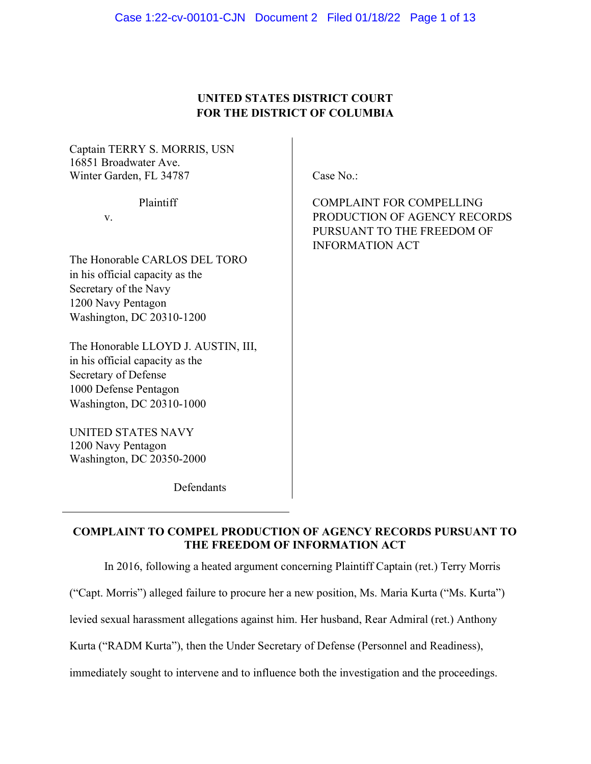## UNITED STATES DISTRICT COURT FOR THE DISTRICT OF COLUMBIA

Captain TERRY S. MORRIS, USN 16851 Broadwater Ave. Winter Garden, FL 34787 Case No.:

The Honorable CARLOS DEL TORO in his official capacity as the Secretary of the Navy 1200 Navy Pentagon Washington, DC 20310-1200

The Honorable LLOYD J. AUSTIN, III, in his official capacity as the Secretary of Defense 1000 Defense Pentagon Washington, DC 20310-1000

UNITED STATES NAVY 1200 Navy Pentagon Washington, DC 20350-2000

 $\overline{a}$ 

Defendants

Plaintiff COMPLAINT FOR COMPELLING v. PRODUCTION OF AGENCY RECORDS PURSUANT TO THE FREEDOM OF INFORMATION ACT

# COMPLAINT TO COMPEL PRODUCTION OF AGENCY RECORDS PURSUANT TO THE FREEDOM OF INFORMATION ACT

In 2016, following a heated argument concerning Plaintiff Captain (ret.) Terry Morris

("Capt. Morris") alleged failure to procure her a new position, Ms. Maria Kurta ("Ms. Kurta")

levied sexual harassment allegations against him. Her husband, Rear Admiral (ret.) Anthony

Kurta ("RADM Kurta"), then the Under Secretary of Defense (Personnel and Readiness),

immediately sought to intervene and to influence both the investigation and the proceedings.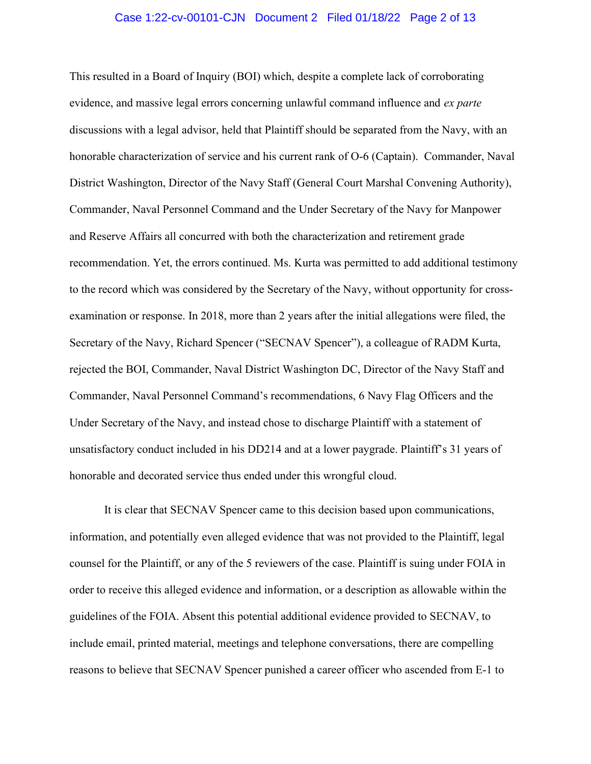#### Case 1:22-cv-00101-CJN Document 2 Filed 01/18/22 Page 2 of 13

This resulted in a Board of Inquiry (BOI) which, despite a complete lack of corroborating evidence, and massive legal errors concerning unlawful command influence and ex parte discussions with a legal advisor, held that Plaintiff should be separated from the Navy, with an honorable characterization of service and his current rank of O-6 (Captain). Commander, Naval District Washington, Director of the Navy Staff (General Court Marshal Convening Authority), Commander, Naval Personnel Command and the Under Secretary of the Navy for Manpower and Reserve Affairs all concurred with both the characterization and retirement grade recommendation. Yet, the errors continued. Ms. Kurta was permitted to add additional testimony to the record which was considered by the Secretary of the Navy, without opportunity for crossexamination or response. In 2018, more than 2 years after the initial allegations were filed, the Secretary of the Navy, Richard Spencer ("SECNAV Spencer"), a colleague of RADM Kurta, rejected the BOI, Commander, Naval District Washington DC, Director of the Navy Staff and Commander, Naval Personnel Command's recommendations, 6 Navy Flag Officers and the Under Secretary of the Navy, and instead chose to discharge Plaintiff with a statement of unsatisfactory conduct included in his DD214 and at a lower paygrade. Plaintiff's 31 years of honorable and decorated service thus ended under this wrongful cloud.

It is clear that SECNAV Spencer came to this decision based upon communications, information, and potentially even alleged evidence that was not provided to the Plaintiff, legal counsel for the Plaintiff, or any of the 5 reviewers of the case. Plaintiff is suing under FOIA in order to receive this alleged evidence and information, or a description as allowable within the guidelines of the FOIA. Absent this potential additional evidence provided to SECNAV, to include email, printed material, meetings and telephone conversations, there are compelling reasons to believe that SECNAV Spencer punished a career officer who ascended from E-1 to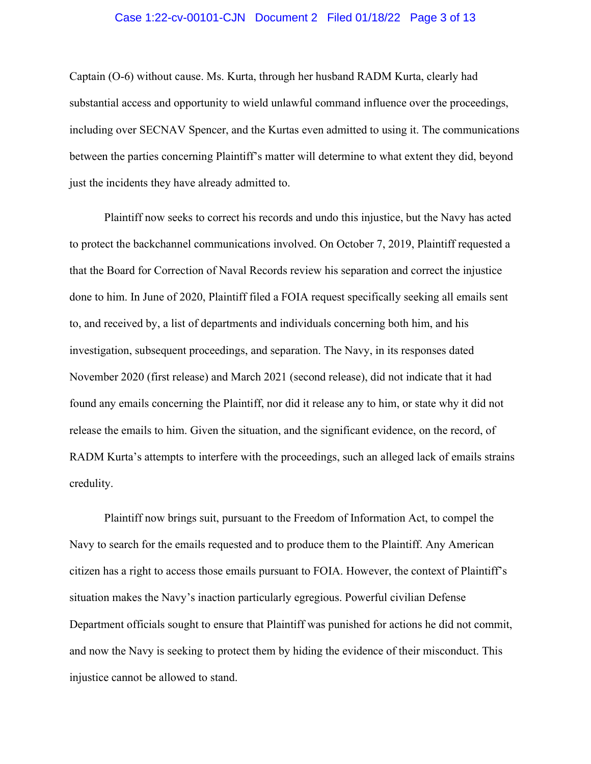#### Case 1:22-cv-00101-CJN Document 2 Filed 01/18/22 Page 3 of 13

Captain (O-6) without cause. Ms. Kurta, through her husband RADM Kurta, clearly had substantial access and opportunity to wield unlawful command influence over the proceedings, including over SECNAV Spencer, and the Kurtas even admitted to using it. The communications between the parties concerning Plaintiff's matter will determine to what extent they did, beyond just the incidents they have already admitted to.

 Plaintiff now seeks to correct his records and undo this injustice, but the Navy has acted to protect the backchannel communications involved. On October 7, 2019, Plaintiff requested a that the Board for Correction of Naval Records review his separation and correct the injustice done to him. In June of 2020, Plaintiff filed a FOIA request specifically seeking all emails sent to, and received by, a list of departments and individuals concerning both him, and his investigation, subsequent proceedings, and separation. The Navy, in its responses dated November 2020 (first release) and March 2021 (second release), did not indicate that it had found any emails concerning the Plaintiff, nor did it release any to him, or state why it did not release the emails to him. Given the situation, and the significant evidence, on the record, of RADM Kurta's attempts to interfere with the proceedings, such an alleged lack of emails strains credulity.

 Plaintiff now brings suit, pursuant to the Freedom of Information Act, to compel the Navy to search for the emails requested and to produce them to the Plaintiff. Any American citizen has a right to access those emails pursuant to FOIA. However, the context of Plaintiff's situation makes the Navy's inaction particularly egregious. Powerful civilian Defense Department officials sought to ensure that Plaintiff was punished for actions he did not commit, and now the Navy is seeking to protect them by hiding the evidence of their misconduct. This injustice cannot be allowed to stand.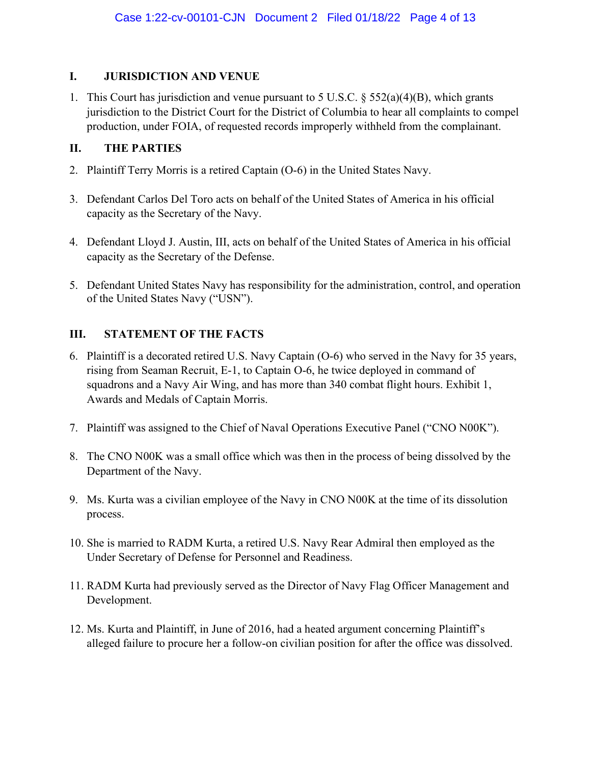# I. JURISDICTION AND VENUE

1. This Court has jurisdiction and venue pursuant to 5 U.S.C. § 552(a)(4)(B), which grants jurisdiction to the District Court for the District of Columbia to hear all complaints to compel production, under FOIA, of requested records improperly withheld from the complainant.

# II. THE PARTIES

- 2. Plaintiff Terry Morris is a retired Captain (O-6) in the United States Navy.
- 3. Defendant Carlos Del Toro acts on behalf of the United States of America in his official capacity as the Secretary of the Navy.
- 4. Defendant Lloyd J. Austin, III, acts on behalf of the United States of America in his official capacity as the Secretary of the Defense.
- 5. Defendant United States Navy has responsibility for the administration, control, and operation of the United States Navy ("USN").

# III. STATEMENT OF THE FACTS

- 6. Plaintiff is a decorated retired U.S. Navy Captain (O-6) who served in the Navy for 35 years, rising from Seaman Recruit, E-1, to Captain O-6, he twice deployed in command of squadrons and a Navy Air Wing, and has more than 340 combat flight hours. Exhibit 1, Awards and Medals of Captain Morris.
- 7. Plaintiff was assigned to the Chief of Naval Operations Executive Panel ("CNO N00K").
- 8. The CNO N00K was a small office which was then in the process of being dissolved by the Department of the Navy.
- 9. Ms. Kurta was a civilian employee of the Navy in CNO N00K at the time of its dissolution process.
- 10. She is married to RADM Kurta, a retired U.S. Navy Rear Admiral then employed as the Under Secretary of Defense for Personnel and Readiness.
- 11. RADM Kurta had previously served as the Director of Navy Flag Officer Management and Development.
- 12. Ms. Kurta and Plaintiff, in June of 2016, had a heated argument concerning Plaintiff's alleged failure to procure her a follow-on civilian position for after the office was dissolved.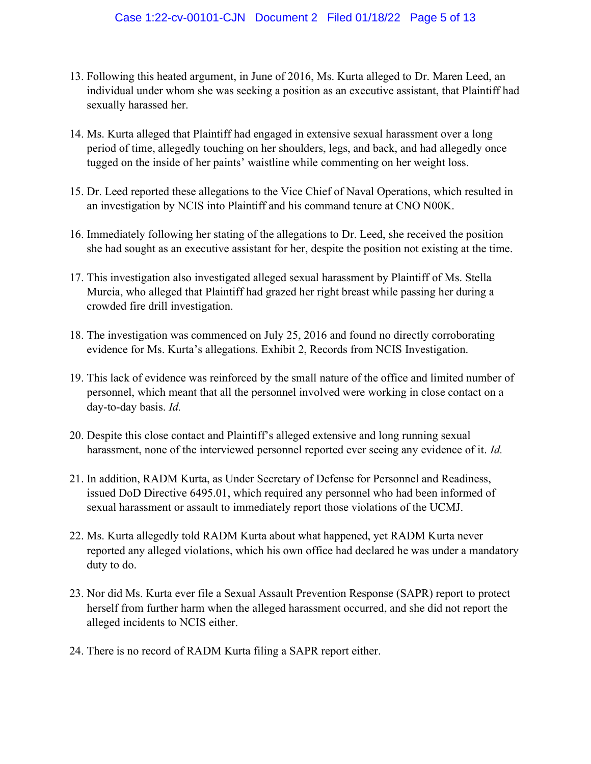- 13. Following this heated argument, in June of 2016, Ms. Kurta alleged to Dr. Maren Leed, an individual under whom she was seeking a position as an executive assistant, that Plaintiff had sexually harassed her.
- 14. Ms. Kurta alleged that Plaintiff had engaged in extensive sexual harassment over a long period of time, allegedly touching on her shoulders, legs, and back, and had allegedly once tugged on the inside of her paints' waistline while commenting on her weight loss.
- 15. Dr. Leed reported these allegations to the Vice Chief of Naval Operations, which resulted in an investigation by NCIS into Plaintiff and his command tenure at CNO N00K.
- 16. Immediately following her stating of the allegations to Dr. Leed, she received the position she had sought as an executive assistant for her, despite the position not existing at the time.
- 17. This investigation also investigated alleged sexual harassment by Plaintiff of Ms. Stella Murcia, who alleged that Plaintiff had grazed her right breast while passing her during a crowded fire drill investigation.
- 18. The investigation was commenced on July 25, 2016 and found no directly corroborating evidence for Ms. Kurta's allegations. Exhibit 2, Records from NCIS Investigation.
- 19. This lack of evidence was reinforced by the small nature of the office and limited number of personnel, which meant that all the personnel involved were working in close contact on a day-to-day basis. Id.
- 20. Despite this close contact and Plaintiff's alleged extensive and long running sexual harassment, none of the interviewed personnel reported ever seeing any evidence of it. Id.
- 21. In addition, RADM Kurta, as Under Secretary of Defense for Personnel and Readiness, issued DoD Directive 6495.01, which required any personnel who had been informed of sexual harassment or assault to immediately report those violations of the UCMJ.
- 22. Ms. Kurta allegedly told RADM Kurta about what happened, yet RADM Kurta never reported any alleged violations, which his own office had declared he was under a mandatory duty to do.
- 23. Nor did Ms. Kurta ever file a Sexual Assault Prevention Response (SAPR) report to protect herself from further harm when the alleged harassment occurred, and she did not report the alleged incidents to NCIS either.
- 24. There is no record of RADM Kurta filing a SAPR report either.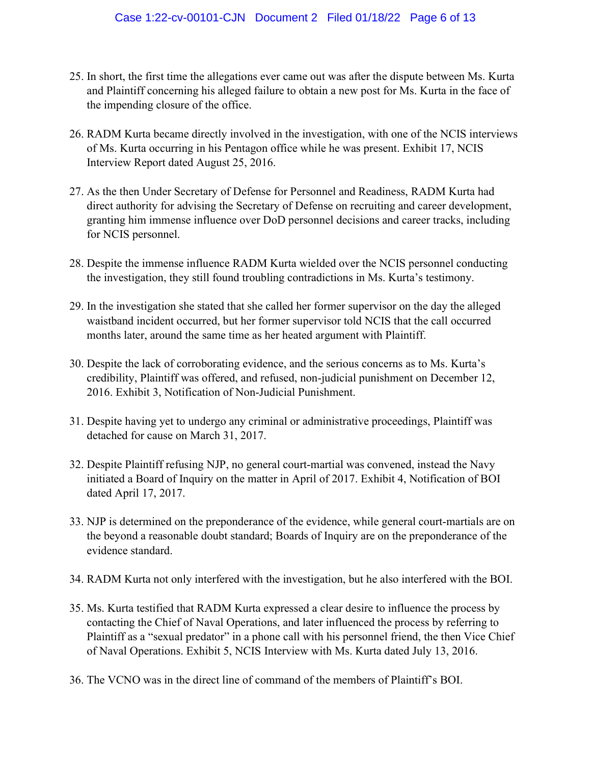- 25. In short, the first time the allegations ever came out was after the dispute between Ms. Kurta and Plaintiff concerning his alleged failure to obtain a new post for Ms. Kurta in the face of the impending closure of the office.
- 26. RADM Kurta became directly involved in the investigation, with one of the NCIS interviews of Ms. Kurta occurring in his Pentagon office while he was present. Exhibit 17, NCIS Interview Report dated August 25, 2016.
- 27. As the then Under Secretary of Defense for Personnel and Readiness, RADM Kurta had direct authority for advising the Secretary of Defense on recruiting and career development, granting him immense influence over DoD personnel decisions and career tracks, including for NCIS personnel.
- 28. Despite the immense influence RADM Kurta wielded over the NCIS personnel conducting the investigation, they still found troubling contradictions in Ms. Kurta's testimony.
- 29. In the investigation she stated that she called her former supervisor on the day the alleged waistband incident occurred, but her former supervisor told NCIS that the call occurred months later, around the same time as her heated argument with Plaintiff.
- 30. Despite the lack of corroborating evidence, and the serious concerns as to Ms. Kurta's credibility, Plaintiff was offered, and refused, non-judicial punishment on December 12, 2016. Exhibit 3, Notification of Non-Judicial Punishment.
- 31. Despite having yet to undergo any criminal or administrative proceedings, Plaintiff was detached for cause on March 31, 2017.
- 32. Despite Plaintiff refusing NJP, no general court-martial was convened, instead the Navy initiated a Board of Inquiry on the matter in April of 2017. Exhibit 4, Notification of BOI dated April 17, 2017.
- 33. NJP is determined on the preponderance of the evidence, while general court-martials are on the beyond a reasonable doubt standard; Boards of Inquiry are on the preponderance of the evidence standard.
- 34. RADM Kurta not only interfered with the investigation, but he also interfered with the BOI.
- 35. Ms. Kurta testified that RADM Kurta expressed a clear desire to influence the process by contacting the Chief of Naval Operations, and later influenced the process by referring to Plaintiff as a "sexual predator" in a phone call with his personnel friend, the then Vice Chief of Naval Operations. Exhibit 5, NCIS Interview with Ms. Kurta dated July 13, 2016.
- 36. The VCNO was in the direct line of command of the members of Plaintiff's BOI.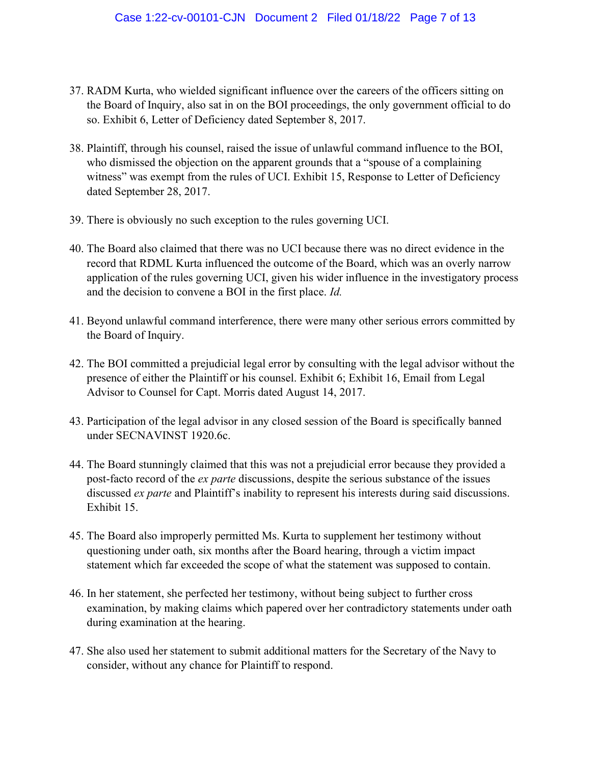- 37. RADM Kurta, who wielded significant influence over the careers of the officers sitting on the Board of Inquiry, also sat in on the BOI proceedings, the only government official to do so. Exhibit 6, Letter of Deficiency dated September 8, 2017.
- 38. Plaintiff, through his counsel, raised the issue of unlawful command influence to the BOI, who dismissed the objection on the apparent grounds that a "spouse of a complaining witness" was exempt from the rules of UCI. Exhibit 15, Response to Letter of Deficiency dated September 28, 2017.
- 39. There is obviously no such exception to the rules governing UCI.
- 40. The Board also claimed that there was no UCI because there was no direct evidence in the record that RDML Kurta influenced the outcome of the Board, which was an overly narrow application of the rules governing UCI, given his wider influence in the investigatory process and the decision to convene a BOI in the first place. Id.
- 41. Beyond unlawful command interference, there were many other serious errors committed by the Board of Inquiry.
- 42. The BOI committed a prejudicial legal error by consulting with the legal advisor without the presence of either the Plaintiff or his counsel. Exhibit 6; Exhibit 16, Email from Legal Advisor to Counsel for Capt. Morris dated August 14, 2017.
- 43. Participation of the legal advisor in any closed session of the Board is specifically banned under SECNAVINST 1920.6c.
- 44. The Board stunningly claimed that this was not a prejudicial error because they provided a post-facto record of the *ex parte* discussions, despite the serious substance of the issues discussed *ex parte* and Plaintiff's inability to represent his interests during said discussions. Exhibit 15.
- 45. The Board also improperly permitted Ms. Kurta to supplement her testimony without questioning under oath, six months after the Board hearing, through a victim impact statement which far exceeded the scope of what the statement was supposed to contain.
- 46. In her statement, she perfected her testimony, without being subject to further cross examination, by making claims which papered over her contradictory statements under oath during examination at the hearing.
- 47. She also used her statement to submit additional matters for the Secretary of the Navy to consider, without any chance for Plaintiff to respond.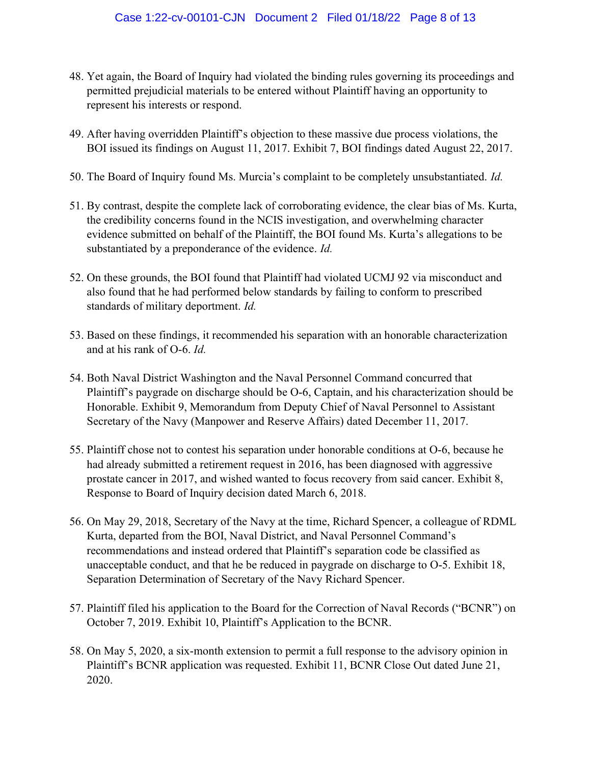- 48. Yet again, the Board of Inquiry had violated the binding rules governing its proceedings and permitted prejudicial materials to be entered without Plaintiff having an opportunity to represent his interests or respond.
- 49. After having overridden Plaintiff's objection to these massive due process violations, the BOI issued its findings on August 11, 2017. Exhibit 7, BOI findings dated August 22, 2017.
- 50. The Board of Inquiry found Ms. Murcia's complaint to be completely unsubstantiated. Id.
- 51. By contrast, despite the complete lack of corroborating evidence, the clear bias of Ms. Kurta, the credibility concerns found in the NCIS investigation, and overwhelming character evidence submitted on behalf of the Plaintiff, the BOI found Ms. Kurta's allegations to be substantiated by a preponderance of the evidence. *Id.*
- 52. On these grounds, the BOI found that Plaintiff had violated UCMJ 92 via misconduct and also found that he had performed below standards by failing to conform to prescribed standards of military deportment. Id.
- 53. Based on these findings, it recommended his separation with an honorable characterization and at his rank of O-6. Id.
- 54. Both Naval District Washington and the Naval Personnel Command concurred that Plaintiff's paygrade on discharge should be O-6, Captain, and his characterization should be Honorable. Exhibit 9, Memorandum from Deputy Chief of Naval Personnel to Assistant Secretary of the Navy (Manpower and Reserve Affairs) dated December 11, 2017.
- 55. Plaintiff chose not to contest his separation under honorable conditions at O-6, because he had already submitted a retirement request in 2016, has been diagnosed with aggressive prostate cancer in 2017, and wished wanted to focus recovery from said cancer. Exhibit 8, Response to Board of Inquiry decision dated March 6, 2018.
- 56. On May 29, 2018, Secretary of the Navy at the time, Richard Spencer, a colleague of RDML Kurta, departed from the BOI, Naval District, and Naval Personnel Command's recommendations and instead ordered that Plaintiff's separation code be classified as unacceptable conduct, and that he be reduced in paygrade on discharge to O-5. Exhibit 18, Separation Determination of Secretary of the Navy Richard Spencer.
- 57. Plaintiff filed his application to the Board for the Correction of Naval Records ("BCNR") on October 7, 2019. Exhibit 10, Plaintiff's Application to the BCNR.
- 58. On May 5, 2020, a six-month extension to permit a full response to the advisory opinion in Plaintiff's BCNR application was requested. Exhibit 11, BCNR Close Out dated June 21, 2020.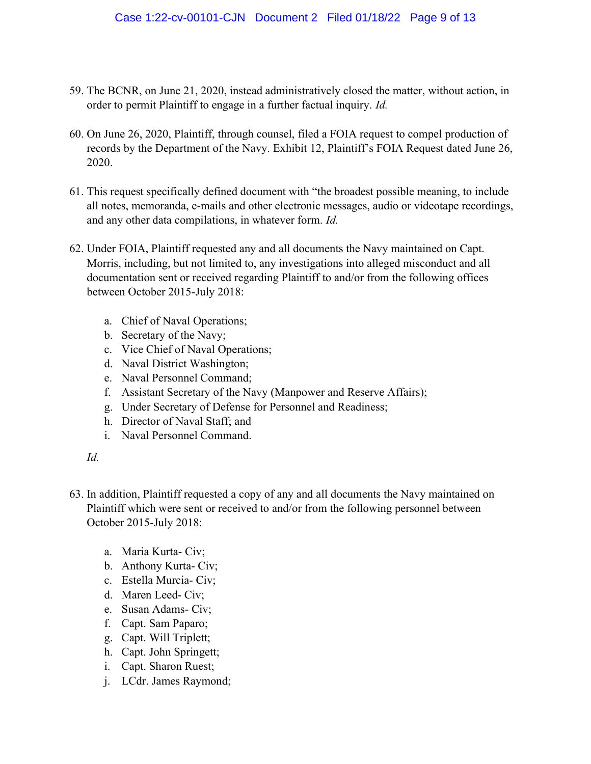- 59. The BCNR, on June 21, 2020, instead administratively closed the matter, without action, in order to permit Plaintiff to engage in a further factual inquiry. *Id.*
- 60. On June 26, 2020, Plaintiff, through counsel, filed a FOIA request to compel production of records by the Department of the Navy. Exhibit 12, Plaintiff's FOIA Request dated June 26, 2020.
- 61. This request specifically defined document with "the broadest possible meaning, to include all notes, memoranda, e-mails and other electronic messages, audio or videotape recordings, and any other data compilations, in whatever form. Id.
- 62. Under FOIA, Plaintiff requested any and all documents the Navy maintained on Capt. Morris, including, but not limited to, any investigations into alleged misconduct and all documentation sent or received regarding Plaintiff to and/or from the following offices between October 2015-July 2018:
	- a. Chief of Naval Operations;
	- b. Secretary of the Navy;
	- c. Vice Chief of Naval Operations;
	- d. Naval District Washington;
	- e. Naval Personnel Command;
	- f. Assistant Secretary of the Navy (Manpower and Reserve Affairs);
	- g. Under Secretary of Defense for Personnel and Readiness;
	- h. Director of Naval Staff; and
	- i. Naval Personnel Command.

### Id.

- 63. In addition, Plaintiff requested a copy of any and all documents the Navy maintained on Plaintiff which were sent or received to and/or from the following personnel between October 2015-July 2018:
	- a. Maria Kurta- Civ;
	- b. Anthony Kurta- Civ;
	- c. Estella Murcia- Civ;
	- d. Maren Leed- Civ;
	- e. Susan Adams- Civ;
	- f. Capt. Sam Paparo;
	- g. Capt. Will Triplett;
	- h. Capt. John Springett;
	- i. Capt. Sharon Ruest;
	- j. LCdr. James Raymond;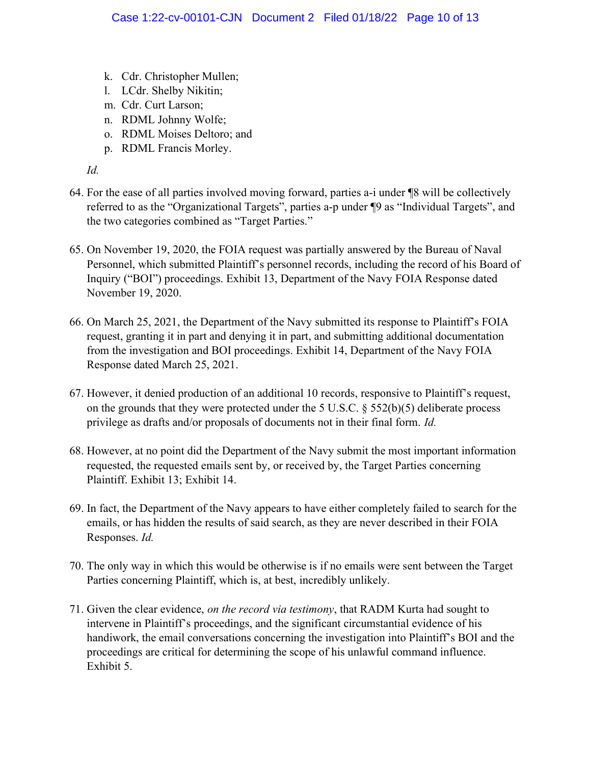- k. Cdr. Christopher Mullen;
- l. LCdr. Shelby Nikitin;
- m. Cdr. Curt Larson;
- n. RDML Johnny Wolfe;
- o. RDML Moises Deltoro; and
- p. RDML Francis Morley.

Id.

- 64. For the ease of all parties involved moving forward, parties a-i under ¶8 will be collectively referred to as the "Organizational Targets", parties a-p under ¶9 as "Individual Targets", and the two categories combined as "Target Parties."
- 65. On November 19, 2020, the FOIA request was partially answered by the Bureau of Naval Personnel, which submitted Plaintiff's personnel records, including the record of his Board of Inquiry ("BOI") proceedings. Exhibit 13, Department of the Navy FOIA Response dated November 19, 2020.
- 66. On March 25, 2021, the Department of the Navy submitted its response to Plaintiff's FOIA request, granting it in part and denying it in part, and submitting additional documentation from the investigation and BOI proceedings. Exhibit 14, Department of the Navy FOIA Response dated March 25, 2021.
- 67. However, it denied production of an additional 10 records, responsive to Plaintiff's request, on the grounds that they were protected under the 5 U.S.C.  $\S$  552(b)(5) deliberate process privilege as drafts and/or proposals of documents not in their final form. Id.
- 68. However, at no point did the Department of the Navy submit the most important information requested, the requested emails sent by, or received by, the Target Parties concerning Plaintiff. Exhibit 13; Exhibit 14.
- 69. In fact, the Department of the Navy appears to have either completely failed to search for the emails, or has hidden the results of said search, as they are never described in their FOIA Responses. Id.
- 70. The only way in which this would be otherwise is if no emails were sent between the Target Parties concerning Plaintiff, which is, at best, incredibly unlikely.
- 71. Given the clear evidence, on the record via testimony, that RADM Kurta had sought to intervene in Plaintiff's proceedings, and the significant circumstantial evidence of his handiwork, the email conversations concerning the investigation into Plaintiff's BOI and the proceedings are critical for determining the scope of his unlawful command influence. Exhibit 5.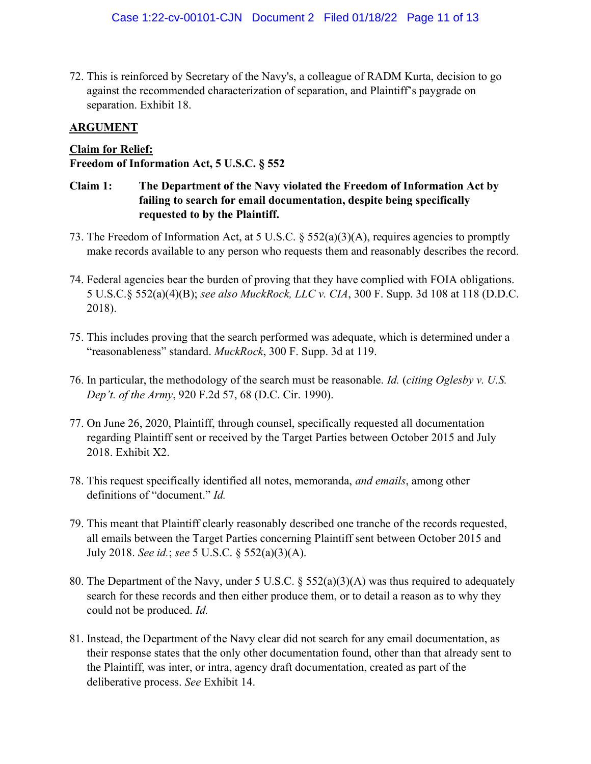72. This is reinforced by Secretary of the Navy's, a colleague of RADM Kurta, decision to go against the recommended characterization of separation, and Plaintiff's paygrade on separation. Exhibit 18.

# ARGUMENT

# Claim for Relief:

## Freedom of Information Act, 5 U.S.C. § 552

- Claim 1: The Department of the Navy violated the Freedom of Information Act by failing to search for email documentation, despite being specifically requested to by the Plaintiff.
- 73. The Freedom of Information Act, at 5 U.S.C. § 552(a)(3)(A), requires agencies to promptly make records available to any person who requests them and reasonably describes the record.
- 74. Federal agencies bear the burden of proving that they have complied with FOIA obligations. 5 U.S.C.§ 552(a)(4)(B); see also MuckRock, LLC v. CIA, 300 F. Supp. 3d 108 at 118 (D.D.C. 2018).
- 75. This includes proving that the search performed was adequate, which is determined under a "reasonableness" standard. MuckRock, 300 F. Supp. 3d at 119.
- 76. In particular, the methodology of the search must be reasonable. Id. (citing Oglesby v. U.S. Dep't. of the Army, 920 F.2d 57, 68 (D.C. Cir. 1990).
- 77. On June 26, 2020, Plaintiff, through counsel, specifically requested all documentation regarding Plaintiff sent or received by the Target Parties between October 2015 and July 2018. Exhibit X2.
- 78. This request specifically identified all notes, memoranda, and emails, among other definitions of "document." Id.
- 79. This meant that Plaintiff clearly reasonably described one tranche of the records requested, all emails between the Target Parties concerning Plaintiff sent between October 2015 and July 2018. See id.; see 5 U.S.C. § 552(a)(3)(A).
- 80. The Department of the Navy, under 5 U.S.C. § 552(a)(3)(A) was thus required to adequately search for these records and then either produce them, or to detail a reason as to why they could not be produced. Id.
- 81. Instead, the Department of the Navy clear did not search for any email documentation, as their response states that the only other documentation found, other than that already sent to the Plaintiff, was inter, or intra, agency draft documentation, created as part of the deliberative process. See Exhibit 14.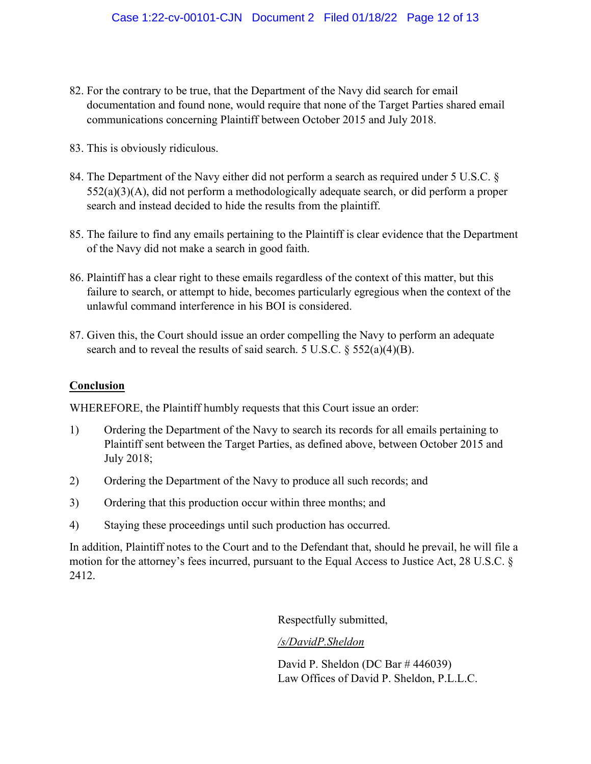- 82. For the contrary to be true, that the Department of the Navy did search for email documentation and found none, would require that none of the Target Parties shared email communications concerning Plaintiff between October 2015 and July 2018.
- 83. This is obviously ridiculous.
- 84. The Department of the Navy either did not perform a search as required under 5 U.S.C. § 552(a)(3)(A), did not perform a methodologically adequate search, or did perform a proper search and instead decided to hide the results from the plaintiff.
- 85. The failure to find any emails pertaining to the Plaintiff is clear evidence that the Department of the Navy did not make a search in good faith.
- 86. Plaintiff has a clear right to these emails regardless of the context of this matter, but this failure to search, or attempt to hide, becomes particularly egregious when the context of the unlawful command interference in his BOI is considered.
- 87. Given this, the Court should issue an order compelling the Navy to perform an adequate search and to reveal the results of said search. 5 U.S.C. § 552(a)(4)(B).

# **Conclusion**

WHEREFORE, the Plaintiff humbly requests that this Court issue an order:

- 1) Ordering the Department of the Navy to search its records for all emails pertaining to Plaintiff sent between the Target Parties, as defined above, between October 2015 and July 2018;
- 2) Ordering the Department of the Navy to produce all such records; and
- 3) Ordering that this production occur within three months; and
- 4) Staying these proceedings until such production has occurred.

In addition, Plaintiff notes to the Court and to the Defendant that, should he prevail, he will file a motion for the attorney's fees incurred, pursuant to the Equal Access to Justice Act, 28 U.S.C. § 2412.

Respectfully submitted,

### /s/DavidP.Sheldon

David P. Sheldon (DC Bar # 446039) Law Offices of David P. Sheldon, P.L.L.C.